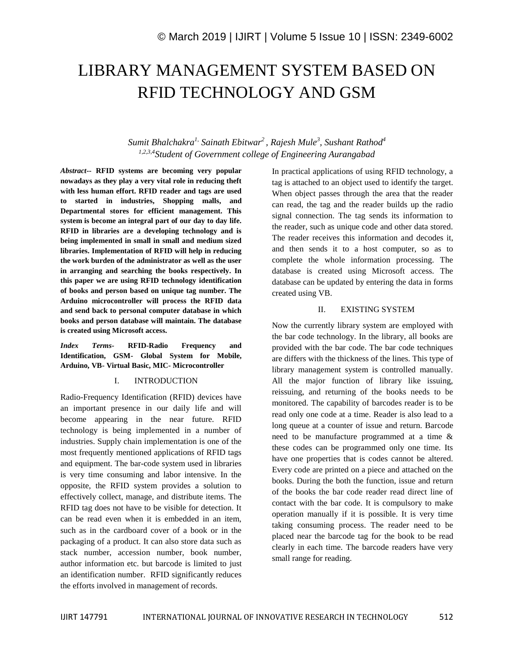# LIBRARY MANAGEMENT SYSTEM BASED ON RFID TECHNOLOGY AND GSM

# *Sumit Bhalchakra1, Sainath Ebitwar<sup>2</sup> , Rajesh Mule<sup>3</sup> , Sushant Rathod<sup>4</sup> 1,2,3,4Student of Government college of Engineering Aurangabad*

*Abstract***-- RFID systems are becoming very popular nowadays as they play a very vital role in reducing theft with less human effort. RFID reader and tags are used to started in industries, Shopping malls, and Departmental stores for efficient management. This system is become an integral part of our day to day life. RFID in libraries are a developing technology and is being implemented in small in small and medium sized libraries. Implementation of RFID will help in reducing the work burden of the administrator as well as the user in arranging and searching the books respectively. In this paper we are using RFID technology identification of books and person based on unique tag number. The Arduino microcontroller will process the RFID data and send back to personal computer database in which books and person database will maintain. The database is created using Microsoft access.**

*Index Terms-* **RFID-Radio Frequency and Identification, GSM- Global System for Mobile, Arduino, VB- Virtual Basic, MIC- Microcontroller**

#### I. INTRODUCTION

Radio-Frequency Identification (RFID) devices have an important presence in our daily life and will become appearing in the near future. RFID technology is being implemented in a number of industries. Supply chain implementation is one of the most frequently mentioned applications of RFID tags and equipment. The bar-code system used in libraries is very time consuming and labor intensive. In the opposite, the RFID system provides a solution to effectively collect, manage, and distribute items. The RFID tag does not have to be visible for detection. It can be read even when it is embedded in an item, such as in the cardboard cover of a book or in the packaging of a product. It can also store data such as stack number, accession number, book number, author information etc. but barcode is limited to just an identification number. RFID significantly reduces the efforts involved in management of records.

In practical applications of using RFID technology, a tag is attached to an object used to identify the target. When object passes through the area that the reader can read, the tag and the reader builds up the radio signal connection. The tag sends its information to the reader, such as unique code and other data stored. The reader receives this information and decodes it, and then sends it to a host computer, so as to complete the whole information processing. The database is created using Microsoft access. The database can be updated by entering the data in forms created using VB.

#### II. EXISTING SYSTEM

Now the currently library system are employed with the bar code technology. In the library, all books are provided with the bar code. The bar code techniques are differs with the thickness of the lines. This type of library management system is controlled manually. All the major function of library like issuing, reissuing, and returning of the books needs to be monitored. The capability of barcodes reader is to be read only one code at a time. Reader is also lead to a long queue at a counter of issue and return. Barcode need to be manufacture programmed at a time & these codes can be programmed only one time. Its have one properties that is codes cannot be altered. Every code are printed on a piece and attached on the books. During the both the function, issue and return of the books the bar code reader read direct line of contact with the bar code. It is compulsory to make operation manually if it is possible. It is very time taking consuming process. The reader need to be placed near the barcode tag for the book to be read clearly in each time. The barcode readers have very small range for reading.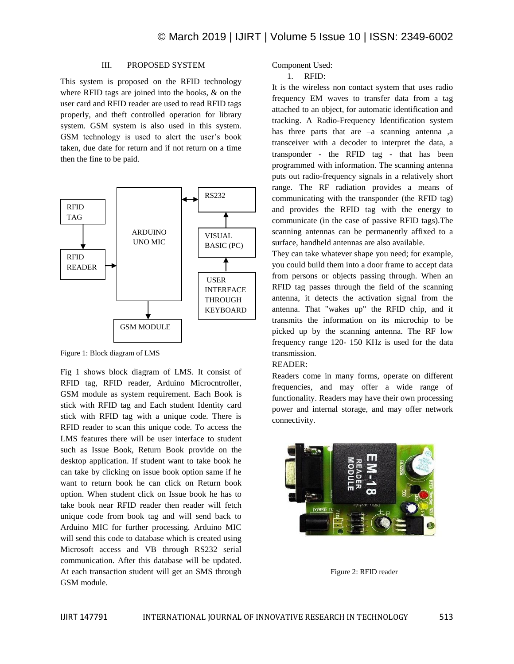#### III. PROPOSED SYSTEM

This system is proposed on the RFID technology where RFID tags are joined into the books, & on the user card and RFID reader are used to read RFID tags properly, and theft controlled operation for library system. GSM system is also used in this system. GSM technology is used to alert the user's book taken, due date for return and if not return on a time then the fine to be paid.



Figure 1: Block diagram of LMS

Fig 1 shows block diagram of LMS. It consist of RFID tag, RFID reader, Arduino Microcntroller, GSM module as system requirement. Each Book is stick with RFID tag and Each student Identity card stick with RFID tag with a unique code. There is RFID reader to scan this unique code. To access the LMS features there will be user interface to student such as Issue Book, Return Book provide on the desktop application. If student want to take book he can take by clicking on issue book option same if he want to return book he can click on Return book option. When student click on Issue book he has to take book near RFID reader then reader will fetch unique code from book tag and will send back to Arduino MIC for further processing. Arduino MIC will send this code to database which is created using Microsoft access and VB through RS232 serial communication. After this database will be updated. At each transaction student will get an SMS through GSM module.

Component Used:

1. RFID:

It is the wireless non contact system that uses radio frequency EM waves to transfer data from a tag attached to an object, for automatic identification and tracking. A Radio-Frequency Identification system has three parts that are –a scanning antenna ,a transceiver with a decoder to interpret the data, a transponder - the RFID tag - that has been programmed with information. The scanning antenna puts out radio-frequency signals in a relatively short range. The RF radiation provides a means of communicating with the transponder (the RFID tag) and provides the RFID tag with the energy to communicate (in the case of passive RFID tags).The scanning antennas can be permanently affixed to a surface, handheld antennas are also available.

They can take whatever shape you need; for example, you could build them into a door frame to accept data from persons or objects passing through. When an RFID tag passes through the field of the scanning antenna, it detects the activation signal from the antenna. That "wakes up" the RFID chip, and it transmits the information on its microchip to be picked up by the scanning antenna. The RF low frequency range 120- 150 KHz is used for the data transmission.

### READER:

Readers come in many forms, operate on different frequencies, and may offer a wide range of functionality. Readers may have their own processing power and internal storage, and may offer network connectivity.



Figure 2: RFID reader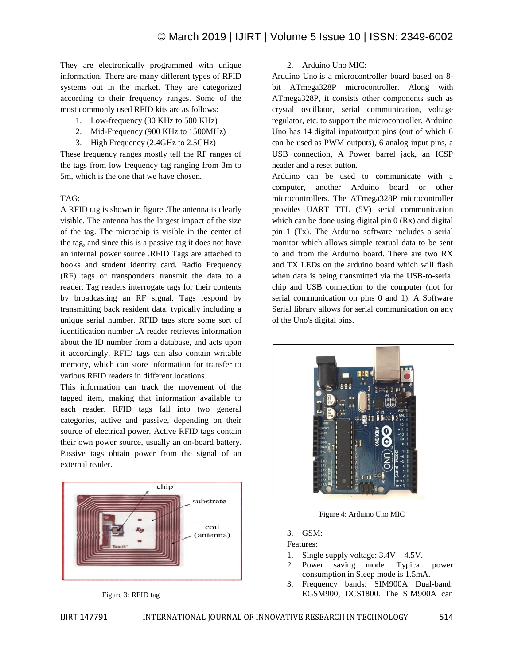They are electronically programmed with unique information. There are many different types of RFID systems out in the market. They are categorized according to their frequency ranges. Some of the most commonly used RFID kits are as follows:

- 1. Low-frequency (30 KHz to 500 KHz)
- 2. Mid-Frequency (900 KHz to 1500MHz)
- 3. High Frequency (2.4GHz to 2.5GHz)

These frequency ranges mostly tell the RF ranges of the tags from low frequency tag ranging from 3m to 5m, which is the one that we have chosen.

# TAG:

A RFID tag is shown in figure .The antenna is clearly visible. The antenna has the largest impact of the size of the tag. The microchip is visible in the center of the tag, and since this is a passive tag it does not have an internal power source .RFID Tags are attached to books and student identity card. Radio Frequency (RF) tags or transponders transmit the data to a reader. Tag readers interrogate tags for their contents by broadcasting an RF signal. Tags respond by transmitting back resident data, typically including a unique serial number. RFID tags store some sort of identification number .A reader retrieves information about the ID number from a database, and acts upon it accordingly. RFID tags can also contain writable memory, which can store information for transfer to various RFID readers in different locations.

This information can track the movement of the tagged item, making that information available to each reader. RFID tags fall into two general categories, active and passive, depending on their source of electrical power. Active RFID tags contain their own power source, usually an on-board battery. Passive tags obtain power from the signal of an external reader.



Figure 3: RFID tag

## 2. Arduino Uno MIC:

Arduino Uno is a microcontroller board based on 8 bit ATmega328P microcontroller. Along with ATmega328P, it consists other components such as crystal oscillator, serial communication, voltage regulator, etc. to support the microcontroller. Arduino Uno has 14 digital input/output pins (out of which 6 can be used as PWM outputs), 6 analog input pins, a USB connection, A Power barrel jack, an ICSP header and a reset button.

Arduino can be used to communicate with a computer, another Arduino board or other microcontrollers. The ATmega328P microcontroller provides UART TTL (5V) serial communication which can be done using digital pin 0 (Rx) and digital pin 1 (Tx). The Arduino software includes a serial monitor which allows simple textual data to be sent to and from the Arduino board. There are two RX and TX LEDs on the arduino board which will flash when data is being transmitted via the USB-to-serial chip and USB connection to the computer (not for serial communication on pins 0 and 1). A Software Serial library allows for serial communication on any of the Uno's digital pins.



Figure 4: Arduino Uno MIC

3. GSM:

Features:

- 1. Single supply voltage: 3.4V 4.5V.
- 2. Power saving mode: Typical power consumption in Sleep mode is 1.5mA.
- 3. Frequency bands: SIM900A Dual-band: EGSM900, DCS1800. The SIM900A can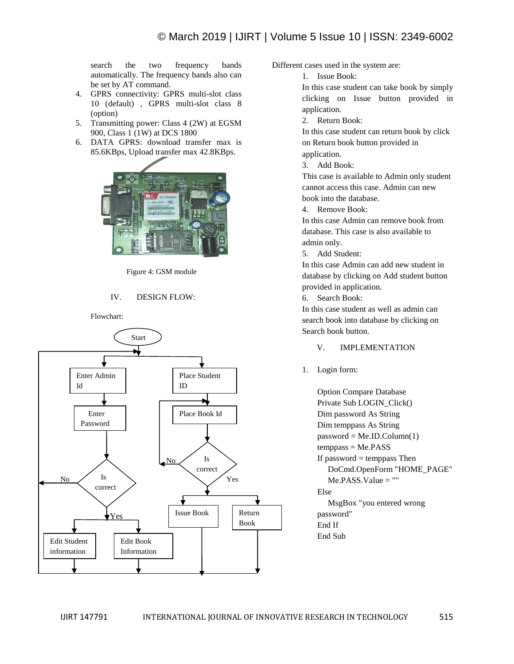search the two frequency bands automatically. The frequency bands also can be set by AT command.

- 4. GPRS connectivity: GPRS multi-slot class 10 (default) , GPRS multi-slot class 8 (option)
- 5. Transmitting power: Class 4 (2W) at EGSM 900, Class 1 (1W) at DCS 1800
- 6. DATA GPRS: download transfer max is 85.6KBps, Upload transfer max 42.8KBps.



Figure 4: GSM module

# IV. DESIGN FLOW:

Flowchart:



Different cases used in the system are:

1. Issue Book:

In this case student can take book by simply clicking on Issue button provided in application.

2. Return Book:

In this case student can return book by click on Return book button provided in application.

3. Add Book:

This case is available to Admin only student cannot access this case. Admin can new book into the database.

4. Remove Book:

In this case Admin can remove book from database. This case is also available to admin only.

5. Add Student:

In this case Admin can add new student in database by clicking on Add student button provided in application.

6. Search Book:

In this case student as well as admin can search book into database by clicking on Search book button.

### V. IMPLEMENTATION

1. Login form:

Option Compare Database Private Sub LOGIN\_Click() Dim password As String Dim temppass As String  $password = Me.ID.Colum(1)$ temppass = Me.PASS If password  $=$  temppass Then DoCmd.OpenForm "HOME\_PAGE"  $Me.PASS.Value = ""$ Else MsgBox "you entered wrong password" End If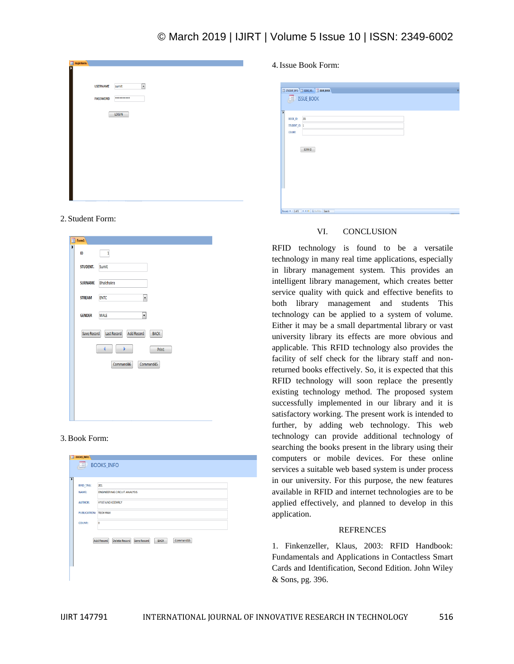# © March 2019 | IJIRT | Volume 5 Issue 10 | ISSN: 2349-6002

| <b>ES</b> loginform |                 |                               |  |
|---------------------|-----------------|-------------------------------|--|
|                     |                 |                               |  |
|                     |                 |                               |  |
|                     |                 |                               |  |
|                     | <b>USERNAME</b> | $\blacktriangledown$<br>sumit |  |
|                     |                 |                               |  |
|                     |                 |                               |  |
|                     | <b>PASSWORD</b> | **********                    |  |
|                     |                 |                               |  |
|                     |                 |                               |  |
|                     |                 | LOGIN                         |  |
|                     |                 |                               |  |
|                     |                 |                               |  |
|                     |                 |                               |  |
|                     |                 |                               |  |
|                     |                 |                               |  |
|                     |                 |                               |  |
|                     |                 |                               |  |
|                     |                 |                               |  |
|                     |                 |                               |  |
|                     |                 |                               |  |
|                     |                 |                               |  |
|                     |                 |                               |  |
|                     |                 |                               |  |
|                     |                 |                               |  |
|                     |                 |                               |  |
|                     |                 |                               |  |
|                     |                 |                               |  |
|                     |                 |                               |  |

#### 2. Student Form:

|   | $\equiv$ Form1 |                                                 |
|---|----------------|-------------------------------------------------|
| Þ | ID             | $\,1\,$                                         |
|   | STUDENT.       | Sumit                                           |
|   | <b>SURNAME</b> | <b>Bhalchakra</b>                               |
|   | <b>STREAM</b>  | <b>ENTC</b><br>¥                                |
|   | <b>GENDER</b>  | $\overline{\phantom{a}}$<br><b>MALE</b>         |
|   | Save Record    | <b>Add Record</b><br>Last Record<br><b>BACK</b> |
|   |                | Þ<br>4<br>Print                                 |
|   |                | Command46<br>Command45                          |
|   |                |                                                 |
|   |                |                                                 |
|   |                |                                                 |
|   |                |                                                 |

### 3.Book Form:

| NAME:<br><b>ENGINEERING CIRCUIT ANALYSIS</b> |
|----------------------------------------------|
|                                              |
| <b>HYAT AND KEEMRLY</b><br><b>AUTHOR:</b>    |
| PUBLICATION: TECH MAX                        |
| $\overline{0}$<br>COUNT:                     |

4.Issue Book Form:

|                          | STLDENT AFO ISSUE BO. 3 ISSUE BOOK |  |  |
|--------------------------|------------------------------------|--|--|
|                          | <b>ED</b> ISSUE_BOOK               |  |  |
|                          |                                    |  |  |
| $\overline{\phantom{a}}$ |                                    |  |  |
| BOOK_ID:                 | 201                                |  |  |
| STUDENT ID: 1            |                                    |  |  |
| COUNT:                   |                                    |  |  |
|                          |                                    |  |  |
|                          |                                    |  |  |
|                          | SCAN ID                            |  |  |
|                          |                                    |  |  |
|                          |                                    |  |  |
|                          |                                    |  |  |
|                          |                                    |  |  |
|                          |                                    |  |  |
|                          |                                    |  |  |
|                          |                                    |  |  |
|                          |                                    |  |  |
|                          |                                    |  |  |

#### VI. CONCLUSION

RFID technology is found to be a versatile technology in many real time applications, especially in library management system. This provides an intelligent library management, which creates better service quality with quick and effective benefits to both library management and students This technology can be applied to a system of volume. Either it may be a small departmental library or vast university library its effects are more obvious and applicable. This RFID technology also provides the facility of self check for the library staff and nonreturned books effectively. So, it is expected that this RFID technology will soon replace the presently existing technology method. The proposed system successfully implemented in our library and it is satisfactory working. The present work is intended to further, by adding web technology. This web technology can provide additional technology of searching the books present in the library using their computers or mobile devices. For these online services a suitable web based system is under process in our university. For this purpose, the new features available in RFID and internet technologies are to be applied effectively, and planned to develop in this application.

#### **REFRENCES**

1. Finkenzeller, Klaus, 2003: RFID Handbook: Fundamentals and Applications in Contactless Smart Cards and Identification, Second Edition. John Wiley & Sons, pg. 396.